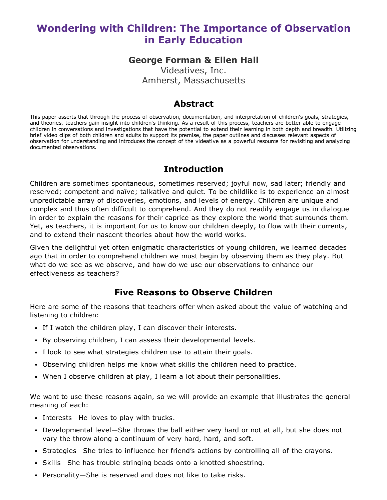# Wondering with Children: The Importance of Observation in Early Education

## George Forman & Ellen Hall

Videatives, Inc. Amherst, Massachusetts

## Abstract

This paper asserts that through the process of observation, documentation, and interpretation of children's goals, strategies, and theories, teachers gain insight into children's thinking. As a result of this process, teachers are better able to engage children in conversations and investigations that have the potential to extend their learning in both depth and breadth. Utilizing brief video clips of both children and adults to support its premise, the paper outlines and discusses relevant aspects of observation for understanding and introduces the concept of the videative as a powerful resource for revisiting and analyzing documented observations.

## Introduction

Children are sometimes spontaneous, sometimes reserved; joyful now, sad later; friendly and reserved; competent and naïve; talkative and quiet. To be childlike is to experience an almost unpredictable array of discoveries, emotions, and levels of energy. Children are unique and complex and thus often difficult to comprehend. And they do not readily engage us in dialogue in order to explain the reasons for their caprice as they explore the world that surrounds them. Yet, as teachers, it is important for us to know our children deeply, to flow with their currents, and to extend their nascent theories about how the world works.

Given the delightful yet often enigmatic characteristics of young children, we learned decades ago that in order to comprehend children we must begin by observing them as they play. But what do we see as we observe, and how do we use our observations to enhance our effectiveness as teachers?

## Five Reasons to Observe Children

Here are some of the reasons that teachers offer when asked about the value of watching and listening to children:

- If I watch the children play, I can discover their interests.
- By observing children, I can assess their developmental levels.
- I look to see what strategies children use to attain their goals.
- Observing children helps me know what skills the children need to practice.
- When I observe children at play, I learn a lot about their personalities.

We want to use these reasons again, so we will provide an example that illustrates the general meaning of each:

- Interests—He loves to play with trucks.
- Developmental level—She throws the ball either very hard or not at all, but she does not vary the throw along a continuum of very hard, hard, and soft.
- Strategies—She tries to influence her friend's actions by controlling all of the crayons.
- Skills—She has trouble stringing beads onto a knotted shoestring.
- Personality—She is reserved and does not like to take risks.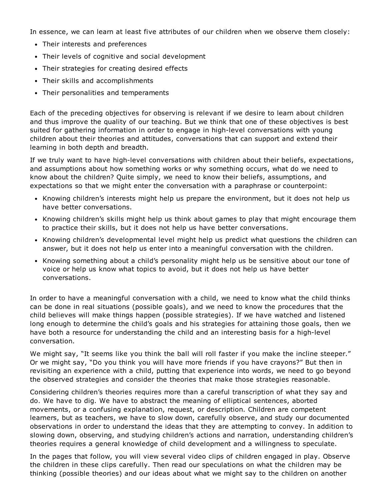In essence, we can learn at least five attributes of our children when we observe them closely:

- Their interests and preferences
- Their levels of cognitive and social development
- Their strategies for creating desired effects
- Their skills and accomplishments
- Their personalities and temperaments

Each of the preceding objectives for observing is relevant if we desire to learn about children and thus improve the quality of our teaching. But we think that one of these objectives is best suited for gathering information in order to engage in high-level conversations with young children about their theories and attitudes, conversations that can support and extend their learning in both depth and breadth.

If we truly want to have high-level conversations with children about their beliefs, expectations, and assumptions about how something works or why something occurs, what do we need to know about the children? Quite simply, we need to know their beliefs, assumptions, and expectations so that we might enter the conversation with a paraphrase or counterpoint:

- Knowing children's interests might help us prepare the environment, but it does not help us have better conversations.
- Knowing children's skills might help us think about games to play that might encourage them to practice their skills, but it does not help us have better conversations.
- Knowing children's developmental level might help us predict what questions the children can answer, but it does not help us enter into a meaningful conversation with the children.
- Knowing something about a child's personality might help us be sensitive about our tone of voice or help us know what topics to avoid, but it does not help us have better conversations.

In order to have a meaningful conversation with a child, we need to know what the child thinks can be done in real situations (possible goals), and we need to know the procedures that the child believes will make things happen (possible strategies). If we have watched and listened long enough to determine the child's goals and his strategies for attaining those goals, then we have both a resource for understanding the child and an interesting basis for a high-level conversation.

We might say, "It seems like you think the ball will roll faster if you make the incline steeper." Or we might say, "Do you think you will have more friends if you have crayons?" But then in revisiting an experience with a child, putting that experience into words, we need to go beyond the observed strategies and consider the theories that make those strategies reasonable.

Considering children's theories requires more than a careful transcription of what they say and do. We have to dig. We have to abstract the meaning of elliptical sentences, aborted movements, or a confusing explanation, request, or description. Children are competent learners, but as teachers, we have to slow down, carefully observe, and study our documented observations in order to understand the ideas that they are attempting to convey. In addition to slowing down, observing, and studying children's actions and narration, understanding children's theories requires a general knowledge of child development and a willingness to speculate.

In the pages that follow, you will view several video clips of children engaged in play. Observe the children in these clips carefully. Then read our speculations on what the children may be thinking (possible theories) and our ideas about what we might say to the children on another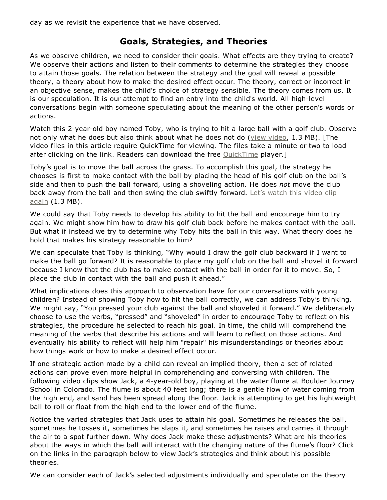day as we revisit the experience that we have observed.

## Goals, Strategies, and Theories

As we observe children, we need to consider their goals. What effects are they trying to create? We observe their actions and listen to their comments to determine the strategies they choose to attain those goals. The relation between the strategy and the goal will reveal a possible theory, a theory about how to make the desired effect occur. The theory, correct or incorrect in an objective sense, makes the child's choice of strategy sensible. The theory comes from us. It is our speculation. It is our attempt to find an entry into the child's world. All high-level conversations begin with someone speculating about the meaning of the other person's words or actions.

Watch this 2-year-old boy named Toby, who is trying to hit a large ball with a golf club. Observe not only what he does but also think about what he does not do (view [video](javascript:openWindow(), 1.3 MB). [The video files in this article require QuickTime for viewing. The files take a minute or two to load after clicking on the link. Readers can download the free [QuickTime](http://www.apple.com/quicktime/download/) player.]

Toby's goal is to move the ball across the grass. To accomplish this goal, the strategy he chooses is first to make contact with the ball by placing the head of his golf club on the ball's side and then to push the ball forward, using a shoveling action. He does *not* move the club back away from the ball and then swing the club swiftly [forward.](javascript:openWindow() Let's watch this video clip again (1.3 MB).

We could say that Toby needs to develop his ability to hit the ball and encourage him to try again. We might show him how to draw his golf club back before he makes contact with the ball. But what if instead we try to determine why Toby hits the ball in this way. What theory does he hold that makes his strategy reasonable to him?

We can speculate that Toby is thinking, "Why would I draw the golf club backward if I want to make the ball go forward? It is reasonable to place my golf club on the ball and shovel it forward because I know that the club has to make contact with the ball in order for it to move. So, I place the club in contact with the ball and push it ahead."

What implications does this approach to observation have for our conversations with young children? Instead of showing Toby how to hit the ball correctly, we can address Toby's thinking. We might say, "You pressed your club against the ball and shoveled it forward." We deliberately choose to use the verbs, "pressed" and "shoveled" in order to encourage Toby to reflect on his strategies, the procedure he selected to reach his goal. In time, the child will comprehend the meaning of the verbs that describe his actions and will learn to reflect on those actions. And eventually his ability to reflect will help him "repair" his misunderstandings or theories about how things work or how to make a desired effect occur.

If one strategic action made by a child can reveal an implied theory, then a set of related actions can prove even more helpful in comprehending and conversing with children. The following video clips show Jack, a 4-year-old boy, playing at the water flume at Boulder Journey School in Colorado. The flume is about 40 feet long; there is a gentle flow of water coming from the high end, and sand has been spread along the floor. Jack is attempting to get his lightweight ball to roll or float from the high end to the lower end of the flume.

Notice the varied strategies that Jack uses to attain his goal. Sometimes he releases the ball, sometimes he tosses it, sometimes he slaps it, and sometimes he raises and carries it through the air to a spot further down. Why does Jack make these adjustments? What are his theories about the ways in which the ball will interact with the changing nature of the flume's floor? Click on the links in the paragraph below to view Jack's strategies and think about his possible theories.

We can consider each of Jack's selected adjustments individually and speculate on the theory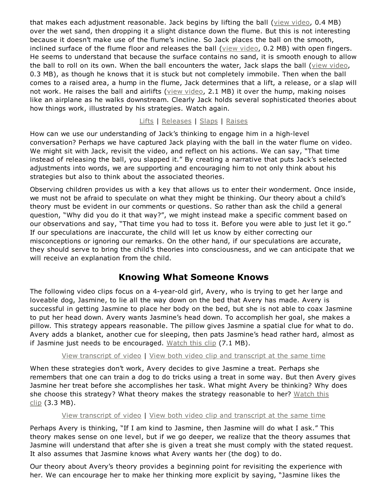that makes each adjustment reasonable. Jack begins by lifting the ball (view [video](javascript:openWindow(), 0.4 MB) over the wet sand, then dropping it a slight distance down the flume. But this is not interesting because it doesn't make use of the flume's incline. So Jack places the ball on the smooth, inclined surface of the flume floor and releases the ball (view [video,](javascript:openWindow() 0.2 MB) with open fingers. He seems to understand that because the surface contains no sand, it is smooth enough to allow the ball to roll on its own. When the ball encounters the water, Jack slaps the ball (view [video](javascript:openWindow(), 0.3 MB), as though he knows that it is stuck but not completely immobile. Then when the ball comes to a raised area, a hump in the flume, Jack determines that a lift, a release, or a slap will not work. He raises the ball and airlifts (view [video](javascript:openWindow(), 2.1 MB) it over the hump, making noises like an airplane as he walks downstream. Clearly Jack holds several sophisticated theories about how things work, illustrated by his strategies. Watch again.

[Lifts](javascript:openWindow() | [Releases](javascript:openWindow() | [Slaps](javascript:openWindow() | [Raises](javascript:openWindow()

How can we use our understanding of Jack's thinking to engage him in a high-level conversation? Perhaps we have captured Jack playing with the ball in the water flume on video. We might sit with Jack, revisit the video, and reflect on his actions. We can say, "That time instead of releasing the ball, you slapped it." By creating a narrative that puts Jack's selected adjustments into words, we are supporting and encouraging him to not only think about his strategies but also to think about the associated theories.

Observing children provides us with a key that allows us to enter their wonderment. Once inside, we must not be afraid to speculate on what they might be thinking. Our theory about a child's theory must be evident in our comments or questions. So rather than ask the child a general question, "Why did you do it that way?", we might instead make a specific comment based on our observations and say, "That time you had to toss it. Before you were able to just let it go." If our speculations are inaccurate, the child will let us know by either correcting our misconceptions or ignoring our remarks. On the other hand, if our speculations are accurate, they should serve to bring the child's theories into consciousness, and we can anticipate that we will receive an explanation from the child.

# Knowing What Someone Knows

The following video clips focus on a 4-year-old girl, Avery, who is trying to get her large and loveable dog, Jasmine, to lie all the way down on the bed that Avery has made. Avery is successful in getting Jasmine to place her body on the bed, but she is not able to coax Jasmine to put her head down. Avery wants Jasmine's head down. To accomplish her goal, she makes a pillow. This strategy appears reasonable. The pillow gives Jasmine a spatial clue for what to do. Avery adds a blanket, another cue for sleeping, then pats Jasmine's head rather hard, almost as if Jasmine just needs to be encouraged. [Watch](javascript:openWindow() this clip (7.1 MB).

View [transcript](http://ecrp.uiuc.edu/videos/v7n2-forman/avery1transcript.html) of video | View both video clip and [transcript](http://ecrp.uiuc.edu/videos/v7n2-forman/avery1transcript_video.html) at the same time

When these strategies don't work, Avery decides to give Jasmine a treat. Perhaps she remembers that one can train a dog to do tricks using a treat in some way. But then Avery gives Jasmine her treat before she accomplishes her task. What might Avery be thinking? Why does she choose this strategy? What theory makes the strategy [reasonable](javascript:openWindow() to her? Watch this  $clip(3.3 MB).$ 

### View [transcript](http://ecrp.uiuc.edu/videos/v7n2-forman/avery2transcript.html) of video | View both video clip and [transcript](http://ecrp.uiuc.edu/videos/v7n2-forman/avery2transcript_video.html) at the same time

Perhaps Avery is thinking, "If I am kind to Jasmine, then Jasmine will do what I ask." This theory makes sense on one level, but if we go deeper, we realize that the theory assumes that Jasmine will understand that after she is given a treat she must comply with the stated request. It also assumes that Jasmine knows what Avery wants her (the dog) to do.

Our theory about Avery's theory provides a beginning point for revisiting the experience with her. We can encourage her to make her thinking more explicit by saying, "Jasmine likes the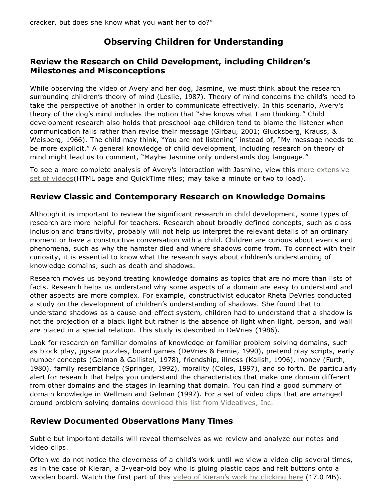# Observing Children for Understanding

### Review the Research on Child Development, including Children's Milestones and Misconceptions

While observing the video of Avery and her dog, Jasmine, we must think about the research surrounding children's theory of mind (Leslie, 1987). Theory of mind concerns the child's need to take the perspective of another in order to communicate effectively. In this scenario, Avery's theory of the dog's mind includes the notion that "she knows what I am thinking." Child development research also holds that preschool-age children tend to blame the listener when communication fails rather than revise their message (Girbau, 2001; Glucksberg, Krauss, & Weisberg, 1966). The child may think, "You are not listening" instead of, "My message needs to be more explicit." A general knowledge of child development, including research on theory of mind might lead us to comment, "Maybe Jasmine only understands dog language."

To see a more complete analysis of Avery's interaction with Jasmine, view this more extensive set of [videos\(HTML](http://ecrp.uiuc.edu/videos/v7n2-forman/not_listening/Not_Listening.html) page and QuickTime files; may take a minute or two to load).

### Review Classic and Contemporary Research on Knowledge Domains

Although it is important to review the significant research in child development, some types of research are more helpful for teachers. Research about broadly defined concepts, such as class inclusion and transitivity, probably will not help us interpret the relevant details of an ordinary moment or have a constructive conversation with a child. Children are curious about events and phenomena, such as why the hamster died and where shadows come from. To connect with their curiosity, it is essential to know what the research says about children's understanding of knowledge domains, such as death and shadows.

Research moves us beyond treating knowledge domains as topics that are no more than lists of facts. Research helps us understand why some aspects of a domain are easy to understand and other aspects are more complex. For example, constructivist educator Rheta DeVries conducted a study on the development of children's understanding of shadows. She found that to understand shadows as a cause-and-effect system, children had to understand that a shadow is not the projection of a black light but rather is the absence of light when light, person, and wall are placed in a special relation. This study is described in DeVries (1986).

Look for research on familiar domains of knowledge or familiar problem-solving domains, such as block play, jigsaw puzzles, board games (DeVries & Fernie, 1990), pretend play scripts, early number concepts (Gelman & Gallistel, 1978), friendship, illness (Kalish, 1996), money (Furth, 1980), family resemblance (Springer, 1992), morality (Coles, 1997), and so forth. Be particularly alert for research that helps you understand the characteristics that make one domain different from other domains and the stages in learning that domain. You can find a good summary of domain knowledge in Wellman and Gelman (1997). For a set of video clips that are arranged around problem-solving domains download this list from [Videatives,](https://videatives.com/assets/pdf/videatives_catalogue.pdf) Inc.

### Review Documented Observations Many Times

Subtle but important details will reveal themselves as we review and analyze our notes and video clips.

Often we do not notice the cleverness of a child's work until we view a video clip several times, as in the case of Kieran, a 3-year-old boy who is gluing plastic caps and felt buttons onto a wooden board. Watch the first part of this *video of [Kieran's](javascript:openWindow() work by clicking here* (17.0 MB).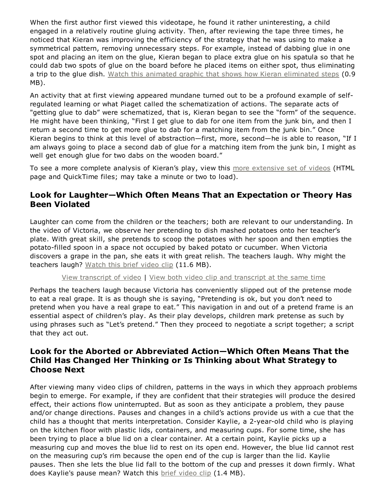When the first author first viewed this videotape, he found it rather uninteresting, a child engaged in a relatively routine gluing activity. Then, after reviewing the tape three times, he noticed that Kieran was improving the efficiency of the strategy that he was using to make a symmetrical pattern, removing unnecessary steps. For example, instead of dabbing glue in one spot and placing an item on the glue, Kieran began to place extra glue on his spatula so that he could dab two spots of glue on the board before he placed items on either spot, thus eliminating a trip to the glue dish. Watch this animated graphic that shows how Kieran [eliminated](http://ecrp.uiuc.edu/videos/v7n2-forman/Junk_Pic-50.mov) steps (0.9) MB).

An activity that at first viewing appeared mundane turned out to be a profound example of selfregulated learning or what Piaget called the schematization of actions. The separate acts of "getting glue to dab" were schematized, that is, Kieran began to see the "form" of the sequence. He might have been thinking, "First I get glue to dab for one item from the junk bin, and then I return a second time to get more glue to dab for a matching item from the junk bin." Once Kieran begins to think at this level of abstraction—first, more, second—he is able to reason, "If I am always going to place a second dab of glue for a matching item from the junk bin, I might as well get enough glue for two dabs on the wooden board."

To see a more complete analysis of Kieran's play, view this more [extensive](http://ecrp.uiuc.edu/videos/v7n2-forman/not_just_play/not_just_play.html) set of videos (HTML page and QuickTime files; may take a minute or two to load).

### Look for Laughter—Which Often Means That an Expectation or Theory Has Been Violated

Laughter can come from the children or the teachers; both are relevant to our understanding. In the video of Victoria, we observe her pretending to dish mashed potatoes onto her teacher's plate. With great skill, she pretends to scoop the potatoes with her spoon and then empties the potato-filled spoon in a space not occupied by baked potato or cucumber. When Victoria discovers a grape in the pan, she eats it with great relish. The teachers laugh. Why might the teachers laugh? [Watch](javascript:openWindow() this brief video clip (11.6 MB).

#### View [transcript](http://ecrp.uiuc.edu/videos/v7n2-forman/pretend-cook-transcript.html) of video | View both video clip and [transcript](http://ecrp.uiuc.edu/videos/v7n2-forman/pretend-cook-transcript_video.html) at the same time

Perhaps the teachers laugh because Victoria has conveniently slipped out of the pretense mode to eat a real grape. It is as though she is saying, "Pretending is ok, but you don't need to pretend when you have a real grape to eat." This navigation in and out of a pretend frame is an essential aspect of children's play. As their play develops, children mark pretense as such by using phrases such as "Let's pretend." Then they proceed to negotiate a script together; a script that they act out.

### Look for the Aborted or Abbreviated Action—Which Often Means That the Child Has Changed Her Thinking or Is Thinking about What Strategy to Choose Next

After viewing many video clips of children, patterns in the ways in which they approach problems begin to emerge. For example, if they are confident that their strategies will produce the desired effect, their actions flow uninterrupted. But as soon as they anticipate a problem, they pause and/or change directions. Pauses and changes in a child's actions provide us with a cue that the child has a thought that merits interpretation. Consider Kaylie, a 2-year-old child who is playing on the kitchen floor with plastic lids, containers, and measuring cups. For some time, she has been trying to place a blue lid on a clear container. At a certain point, Kaylie picks up a measuring cup and moves the blue lid to rest on its open end. However, the blue lid cannot rest on the measuring cup's rim because the open end of the cup is larger than the lid. Kaylie pauses. Then she lets the blue lid fall to the bottom of the cup and presses it down firmly. What does Kaylie's pause mean? Watch this brief [video](javascript:openWindow() clip (1.4 MB).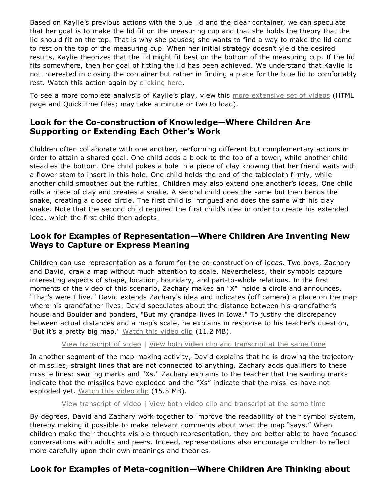Based on Kaylie's previous actions with the blue lid and the clear container, we can speculate that her goal is to make the lid fit on the measuring cup and that she holds the theory that the lid should fit on the top. That is why she pauses; she wants to find a way to make the lid come to rest on the top of the measuring cup. When her initial strategy doesn't yield the desired results, Kaylie theorizes that the lid might fit best on the bottom of the measuring cup. If the lid fits somewhere, then her goal of fitting the lid has been achieved. We understand that Kaylie is not interested in closing the container but rather in finding a place for the blue lid to comfortably rest. Watch this action again by [clicking](javascript:openWindow() here.

To see a more complete analysis of Kaylie's play, view this more [extensive](http://ecrp.uiuc.edu/videos/v7n2-forman/kaylee_in_the_kitchen/Kaylee02_07_05.html) set of videos (HTML page and QuickTime files; may take a minute or two to load).

### Look for the Co-construction of Knowledge-Where Children Are Supporting or Extending Each Other's Work

Children often collaborate with one another, performing different but complementary actions in order to attain a shared goal. One child adds a block to the top of a tower, while another child steadies the bottom. One child pokes a hole in a piece of clay knowing that her friend waits with a flower stem to insert in this hole. One child holds the end of the tablecloth firmly, while another child smoothes out the ruffles. Children may also extend one another's ideas. One child rolls a piece of clay and creates a snake. A second child does the same but then bends the snake, creating a closed circle. The first child is intrigued and does the same with his clay snake. Note that the second child required the first child's idea in order to create his extended idea, which the first child then adopts.

### Look for Examples of Representation—Where Children Are Inventing New Ways to Capture or Express Meaning

Children can use representation as a forum for the co-construction of ideas. Two boys, Zachary and David, draw a map without much attention to scale. Nevertheless, their symbols capture interesting aspects of shape, location, boundary, and part-to-whole relations. In the first moments of the video of this scenario, Zachary makes an "X" inside a circle and announces, "That's were I live." David extends Zachary's idea and indicates (off camera) a place on the map where his grandfather lives. David speculates about the distance between his grandfather's house and Boulder and ponders, "But my grandpa lives in Iowa." To justify the discrepancy between actual distances and a map's scale, he explains in response to his teacher's question, "But it's a pretty big map." [Watch](javascript:openWindow() this video clip (11.2 MB).

#### View [transcript](http://ecrp.uiuc.edu/videos/v7n2-forman/map1transcript.html) of video | View both video clip and [transcript](http://ecrp.uiuc.edu/videos/v7n2-forman/map1transcript_video.html) at the same time

In another segment of the map-making activity, David explains that he is drawing the trajectory of missiles, straight lines that are not connected to anything. Zachary adds qualifiers to these missile lines: swirling marks and "Xs." Zachary explains to the teacher that the swirling marks indicate that the missiles have exploded and the "Xs" indicate that the missiles have not exploded yet. [Watch](javascript:openWindow() this video clip (15.5 MB).

#### View [transcript](http://ecrp.uiuc.edu/videos/v7n2-forman/map2transcript.html) of video | View both video clip and [transcript](http://ecrp.uiuc.edu/videos/v7n2-forman/map2transcript_video.html) at the same time

By degrees, David and Zachary work together to improve the readability of their symbol system, thereby making it possible to make relevant comments about what the map "says." When children make their thoughts visible through representation, they are better able to have focused conversations with adults and peers. Indeed, representations also encourage children to reflect more carefully upon their own meanings and theories.

### Look for Examples of Meta-cognition—Where Children Are Thinking about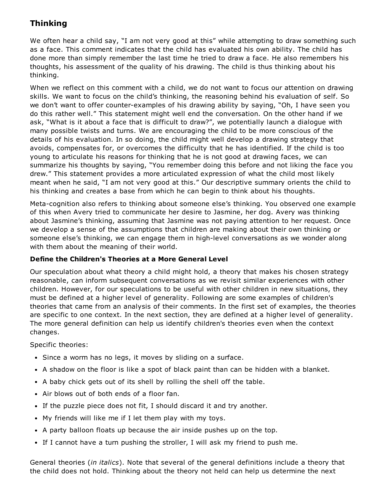# Thinking

We often hear a child say, "I am not very good at this" while attempting to draw something such as a face. This comment indicates that the child has evaluated his own ability. The child has done more than simply remember the last time he tried to draw a face. He also remembers his thoughts, his assessment of the quality of his drawing. The child is thus thinking about his thinking.

When we reflect on this comment with a child, we do not want to focus our attention on drawing skills. We want to focus on the child's thinking, the reasoning behind his evaluation of self. So we don't want to offer counter-examples of his drawing ability by saying, "Oh, I have seen you do this rather well." This statement might well end the conversation. On the other hand if we ask, "What is it about a face that is difficult to draw?", we potentially launch a dialogue with many possible twists and turns. We are encouraging the child to be more conscious of the details of his evaluation. In so doing, the child might well develop a drawing strategy that avoids, compensates for, or overcomes the difficulty that he has identified. If the child is too young to articulate his reasons for thinking that he is not good at drawing faces, we can summarize his thoughts by saying, "You remember doing this before and not liking the face you drew." This statement provides a more articulated expression of what the child most likely meant when he said, "I am not very good at this." Our descriptive summary orients the child to his thinking and creates a base from which he can begin to think about his thoughts.

Meta-cognition also refers to thinking about someone else's thinking. You observed one example of this when Avery tried to communicate her desire to Jasmine, her dog. Avery was thinking about Jasmine's thinking, assuming that Jasmine was not paying attention to her request. Once we develop a sense of the assumptions that children are making about their own thinking or someone else's thinking, we can engage them in high-level conversations as we wonder along with them about the meaning of their world.

### Define the Children's Theories at a More General Level

Our speculation about what theory a child might hold, a theory that makes his chosen strategy reasonable, can inform subsequent conversations as we revisit similar experiences with other children. However, for our speculations to be useful with other children in new situations, they must be defined at a higher level of generality. Following are some examples of children's theories that came from an analysis of their comments. In the first set of examples, the theories are specific to one context. In the next section, they are defined at a higher level of generality. The more general definition can help us identify children's theories even when the context changes.

Specific theories:

- Since a worm has no legs, it moves by sliding on a surface.
- A shadow on the floor is like a spot of black paint than can be hidden with a blanket.
- A baby chick gets out of its shell by rolling the shell off the table.
- Air blows out of both ends of a floor fan.
- If the puzzle piece does not fit, I should discard it and try another.
- My friends will like me if I let them play with my toys.
- A party balloon floats up because the air inside pushes up on the top.
- If I cannot have a turn pushing the stroller, I will ask my friend to push me.

General theories (*in italics*). Note that several of the general definitions include a theory that the child does not hold. Thinking about the theory not held can help us determine the next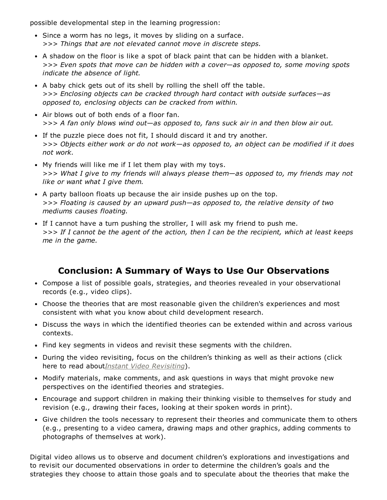possible developmental step in the learning progression:

- Since a worm has no legs, it moves by sliding on a surface. >>> *Things that are not elevated cannot move in discrete steps.*
- A shadow on the floor is like a spot of black paint that can be hidden with a blanket. >>> *Even spots that move can be hidden with a cover—as opposed to, some moving spots indicate the absence of light.*
- A baby chick gets out of its shell by rolling the shell off the table. >>> *Enclosing objects can be cracked through hard contact with outside surfaces—as opposed to, enclosing objects can be cracked from within.*
- Air blows out of both ends of a floor fan. >>> *A fan only blows wind out—as opposed to, fans suck air in and then blow air out.*
- If the puzzle piece does not fit, I should discard it and try another. >>> *Objects either work or do not work—as opposed to, an object can be modified if it does not work.*
- My friends will like me if I let them play with my toys. >>> *What I give to my friends will always please them—as opposed to, my friends may not like or want what I give them.*
- A party balloon floats up because the air inside pushes up on the top. >>> *Floating is caused by an upward push—as opposed to, the relative density of two mediums causes floating.*
- If I cannot have a turn pushing the stroller, I will ask my friend to push me. >>> If I cannot be the agent of the action, then I can be the recipient, which at least keeps *me in the game.*

# Conclusion: A Summary of Ways to Use Our Observations

- Compose a list of possible goals, strategies, and theories revealed in your observational records (e.g., video clips).
- Choose the theories that are most reasonable given the children's experiences and most consistent with what you know about child development research.
- Discuss the ways in which the identified theories can be extended within and across various contexts.
- Find key segments in videos and revisit these segments with the children.
- During the video revisiting, focus on the children's thinking as well as their actions (click here to read about*Instant Video [Revisiting](http://ecrp.uiuc.edu/v1n2/forman.html)*).
- Modify materials, make comments, and ask questions in ways that might provoke new perspectives on the identified theories and strategies.
- Encourage and support children in making their thinking visible to themselves for study and revision (e.g., drawing their faces, looking at their spoken words in print).
- Give children the tools necessary to represent their theories and communicate them to others (e.g., presenting to a video camera, drawing maps and other graphics, adding comments to photographs of themselves at work).

Digital video allows us to observe and document children's explorations and investigations and to revisit our documented observations in order to determine the children's goals and the strategies they choose to attain those goals and to speculate about the theories that make the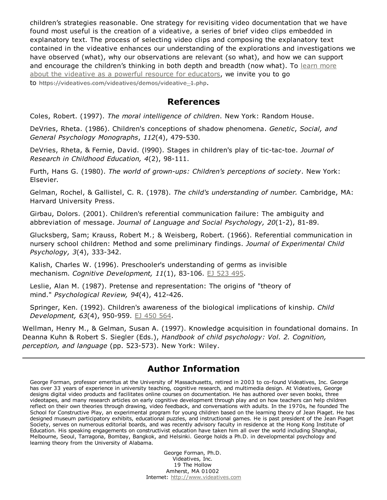children's strategies reasonable. One strategy for revisiting video documentation that we have found most useful is the creation of a videative, a series of brief video clips embedded in explanatory text. The process of selecting video clips and composing the explanatory text contained in the videative enhances our understanding of the explorations and investigations we have observed (what), why our observations are relevant (so what), and how we can support and encourage the children's thinking in both depth and breadth (now what). To learn more about the videative as a powerful resource for [educators,](https://videatives.com/videatives/demo) we invite you to go to https://videatives.com/videatives/demos/videative\_1.php.

### References

Coles, Robert. (1997). *The moral intelligence of children*. New York: Random House.

DeVries, Rheta. (1986). Children's conceptions of shadow phenomena. *Genetic*, *Social, and General Psychology Monographs, 112(4), 479-530.* 

DeVries, Rheta, & Fernie, David. (1990). Stages in children's play of tic-tac-toe. *Journal of Research in Childhood Education, 4(2), 98-111.* 

Furth, Hans G. (1980). *The world of grownups: Children's perceptions of society*. New York: Elsevier.

Gelman, Rochel, & Gallistel, C. R. (1978). *The child's understanding of number.* Cambridge, MA: Harvard University Press.

Girbau, Dolors. (2001). Children's referential communication failure: The ambiguity and abbreviation of message. *Journal of Language and Social Psychology, 20*(1-2), 81-89.

Glucksberg, Sam; Krauss, Robert M.; & Weisberg, Robert. (1966). Referential communication in nursery school children: Method and some preliminary findings. *Journal of Experimental Child Psychology, 3*(4), 333-342.

Kalish, Charles W. (1996). Preschooler's understanding of germs as invisible mechanism. *Cognitive Development, 11*(1), 83106. EJ [523](http://eric.ed.gov/?id=ej523495) 495.

Leslie, Alan M. (1987). Pretense and representation: The origins of "theory of mind." *Psychological Review, 94*(4), 412426.

Springer, Ken. (1992). Children's awareness of the biological implications of kinship. *Child Development,* 63(4), 950-959. EJ 450 [564.](http://eric.ed.gov/?id=ej450564)

Wellman, Henry M., & Gelman, Susan A. (1997). Knowledge acquisition in foundational domains. In Deanna Kuhn & Robert S. Siegler (Eds.), *Handbook of child psychology: Vol. 2. Cognition, perception, and language* (pp. 523-573). New York: Wiley.

## Author Information

George Forman, professor emeritus at the University of Massachusetts, retired in 2003 to co-found Videatives, Inc. George has over 33 years of experience in university teaching, cognitive research, and multimedia design. At Videatives, George designs digital video products and facilitates online courses on documentation. He has authored over seven books, three videotapes, and many research articles on early cognitive development through play and on how teachers can help children reflect on their own theories through drawing, video feedback, and conversations with adults. In the 1970s, he founded The School for Constructive Play, an experimental program for young children based on the learning theory of Jean Piaget. He has designed museum participatory exhibits, educational puzzles, and instructional games. He is past president of the Jean Piaget Society, serves on numerous editorial boards, and was recently advisory faculty in residence at the Hong Kong Institute of Education. His speaking engagements on constructivist education have taken him all over the world including Shanghai, Melbourne, Seoul, Tarragona, Bombay, Bangkok, and Helsinki. George holds a Ph.D. in developmental psychology and learning theory from the University of Alabama.

> George Forman, Ph.D. Videatives, Inc. 19 The Hollow Amherst, MA 01002 Internet: [http://www.videatives.com](https://videatives.com/)